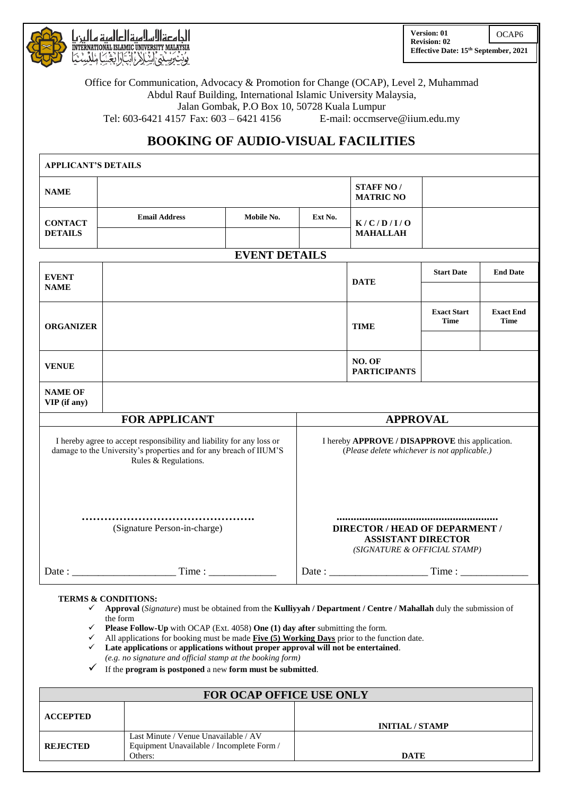

الحامعةالاسلاميةالعالمية مالينيا iNTERNATIONAL ISLAMIC UNIVERSITY MALAYSIA<br>يۈن ئېزىيىنىنى لىنىلار رائېتارابېتىنيا مىلگىيىنى **Version: 01 Revision: 02 Effective Date: 15th September, 2021** OCAP6

Office for Communication, Advocacy & Promotion for Change (OCAP), Level 2, Muhammad Abdul Rauf Building, International Islamic University Malaysia, Jalan Gombak, P.O Box 10, 50728 Kuala Lumpur Tel: 603-6421 4157 Fax: 603 – 6421 4156 E-mail: [occmserve@iium.edu.my](mailto:occmserve@iium.edu.my)

## **BOOKING OF AUDIO-VISUAL FACILITIES**

| <b>APPLICANT'S DETAILS</b>                                                                                                                                                                             |                      |                      |                                                                                                    |                                                                                     |  |  |  |
|--------------------------------------------------------------------------------------------------------------------------------------------------------------------------------------------------------|----------------------|----------------------|----------------------------------------------------------------------------------------------------|-------------------------------------------------------------------------------------|--|--|--|
| <b>NAME</b>                                                                                                                                                                                            |                      |                      |                                                                                                    | <b>STAFF NO/</b><br><b>MATRIC NO</b>                                                |  |  |  |
| <b>CONTACT</b>                                                                                                                                                                                         | <b>Email Address</b> | Mobile No.           | Ext No.                                                                                            | K/C/D/I/O                                                                           |  |  |  |
| <b>DETAILS</b>                                                                                                                                                                                         |                      |                      |                                                                                                    | <b>MAHALLAH</b>                                                                     |  |  |  |
|                                                                                                                                                                                                        |                      | <b>EVENT DETAILS</b> |                                                                                                    |                                                                                     |  |  |  |
| <b>EVENT</b>                                                                                                                                                                                           |                      |                      |                                                                                                    | <b>Start Date</b><br><b>End Date</b><br><b>DATE</b>                                 |  |  |  |
| <b>NAME</b>                                                                                                                                                                                            |                      |                      |                                                                                                    |                                                                                     |  |  |  |
| <b>ORGANIZER</b>                                                                                                                                                                                       |                      |                      |                                                                                                    | <b>Exact Start</b><br><b>Exact End</b><br><b>Time</b><br><b>Time</b><br><b>TIME</b> |  |  |  |
|                                                                                                                                                                                                        |                      |                      |                                                                                                    |                                                                                     |  |  |  |
| <b>VENUE</b>                                                                                                                                                                                           |                      |                      |                                                                                                    | NO. OF<br><b>PARTICIPANTS</b>                                                       |  |  |  |
| <b>NAME OF</b><br>VIP (if any)                                                                                                                                                                         |                      |                      |                                                                                                    |                                                                                     |  |  |  |
| <b>FOR APPLICANT</b>                                                                                                                                                                                   |                      |                      | <b>APPROVAL</b>                                                                                    |                                                                                     |  |  |  |
| I hereby agree to accept responsibility and liability for any loss or<br>damage to the University's properties and for any breach of IIUM'S<br>Rules & Regulations.                                    |                      |                      | I hereby APPROVE / DISAPPROVE this application.<br>(Please delete whichever is not applicable.)    |                                                                                     |  |  |  |
| (Signature Person-in-charge)                                                                                                                                                                           |                      |                      | <b>DIRECTOR / HEAD OF DEPARMENT /</b><br><b>ASSISTANT DIRECTOR</b><br>(SIGNATURE & OFFICIAL STAMP) |                                                                                     |  |  |  |
|                                                                                                                                                                                                        | Date: Time:          |                      | Date: Time:                                                                                        |                                                                                     |  |  |  |
| <b>TERMS &amp; CONDITIONS:</b><br>$\mathcal{L}$ Announced $(\mathbf{C}^*,,)$ and by the instant form the $\mathbf{V}_n$ -Himsel $\ell$ Department $\ell$ Centre $\ell$ Makellak delay the infection of |                      |                      |                                                                                                    |                                                                                     |  |  |  |

- **Approval** (*Signature*) must be obtained from the **Kulliyyah / Department / Centre / Mahallah** duly the submission of the form
- **Please Follow-Up** with OCAP (Ext. 4058) **One (1) day after** submitting the form.
- All applications for booking must be made **Five (5) Working Days** prior to the function date.
- **Late applications** or **applications without proper approval will not be entertained**. *(e.g. no signature and official stamp at the booking form)*
- If the **program is postponed** a new **form must be submitted**.

| <b>FOR OCAP OFFICE USE ONLY</b> |                                                                                              |                        |  |  |
|---------------------------------|----------------------------------------------------------------------------------------------|------------------------|--|--|
| <b>ACCEPTED</b>                 |                                                                                              | <b>INITIAL / STAMP</b> |  |  |
| <b>REJECTED</b>                 | Last Minute / Venue Unavailable / AV<br>Equipment Unavailable / Incomplete Form /<br>Others: | <b>DATE</b>            |  |  |